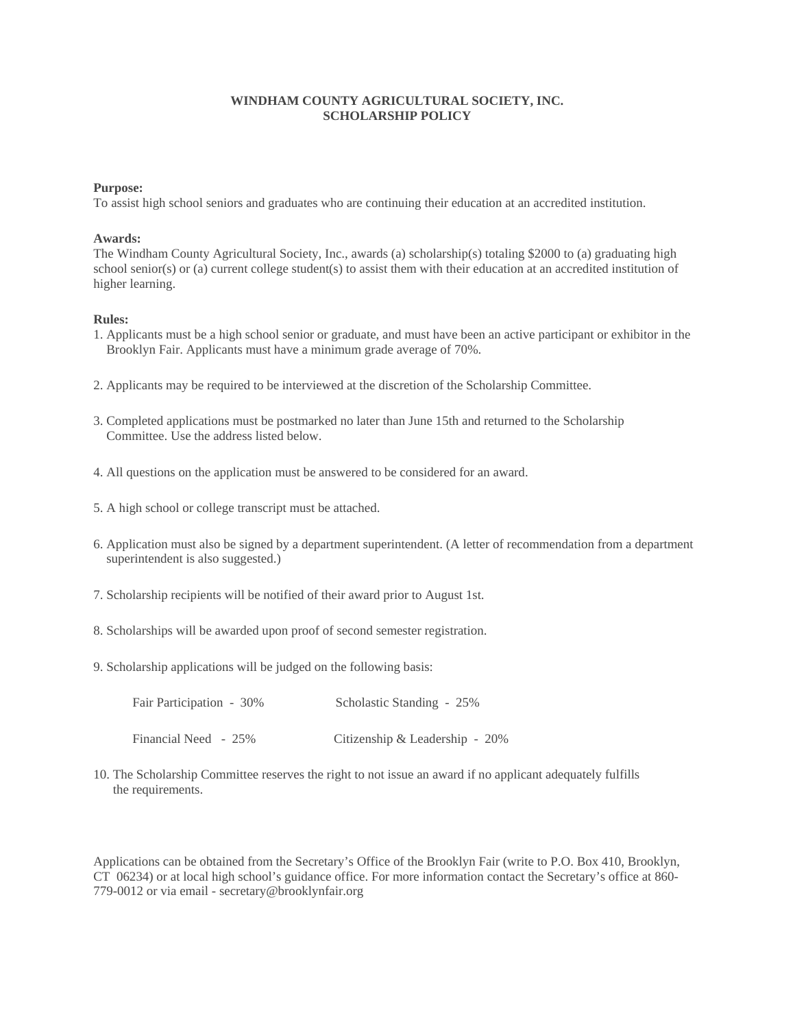### **WINDHAM COUNTY AGRICULTURAL SOCIETY, INC. SCHOLARSHIP POLICY**

#### **Purpose:**

To assist high school seniors and graduates who are continuing their education at an accredited institution.

#### **Awards:**

The Windham County Agricultural Society, Inc., awards (a) scholarship(s) totaling \$2000 to (a) graduating high school senior(s) or (a) current college student(s) to assist them with their education at an accredited institution of higher learning.

#### **Rules:**

- 1. Applicants must be a high school senior or graduate, and must have been an active participant or exhibitor in the Brooklyn Fair. Applicants must have a minimum grade average of 70%.
- 2. Applicants may be required to be interviewed at the discretion of the Scholarship Committee.
- 3. Completed applications must be postmarked no later than June 15th and returned to the Scholarship Committee. Use the address listed below.
- 4. All questions on the application must be answered to be considered for an award.
- 5. A high school or college transcript must be attached.
- 6. Application must also be signed by a department superintendent. (A letter of recommendation from a department superintendent is also suggested.)
- 7. Scholarship recipients will be notified of their award prior to August 1st.
- 8. Scholarships will be awarded upon proof of second semester registration.
- 9. Scholarship applications will be judged on the following basis:

| Fair Participation - 30% | Scholastic Standing - 25%      |
|--------------------------|--------------------------------|
| Financial Need - 25%     | Citizenship & Leadership - 20% |

10. The Scholarship Committee reserves the right to not issue an award if no applicant adequately fulfills the requirements.

Applications can be obtained from the Secretary's Office of the Brooklyn Fair (write to P.O. Box 410, Brooklyn, CT 06234) or at local high school's guidance office. For more information contact the Secretary's office at 860- 779-0012 or via email - secretary@brooklynfair.org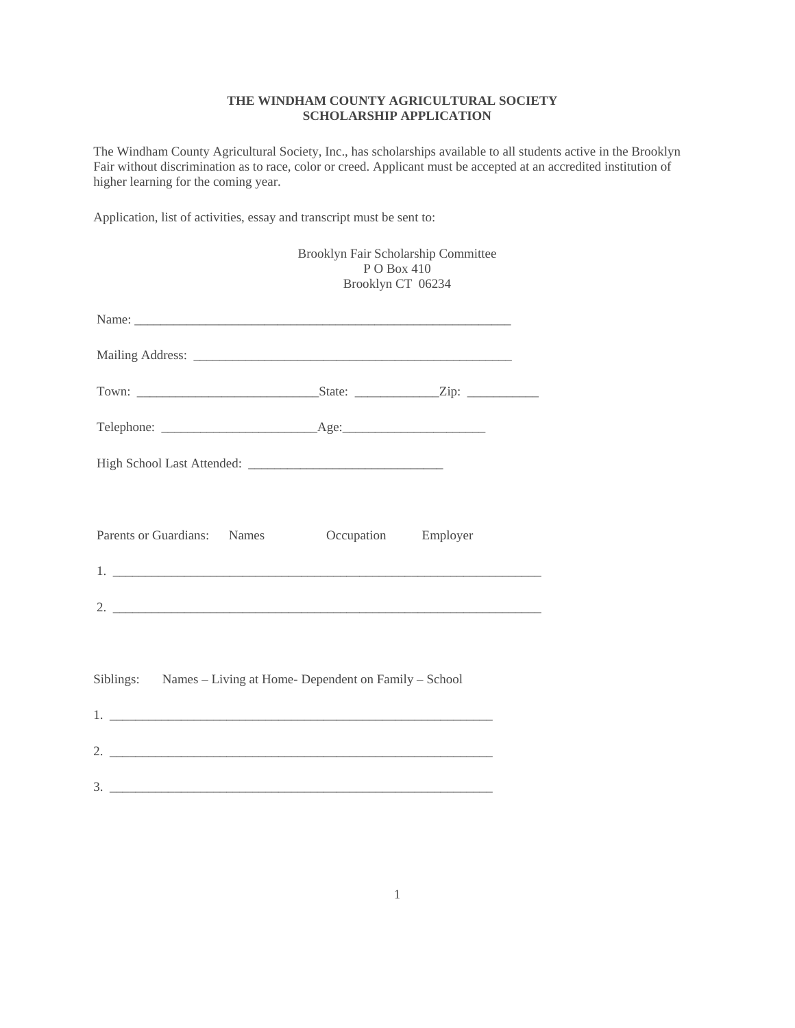# **THE WINDHAM COUNTY AGRICULTURAL SOCIETY SCHOLARSHIP APPLICATION**

The Windham County Agricultural Society, Inc., has scholarships available to all students active in the Brooklyn Fair without discrimination as to race, color or creed. Applicant must be accepted at an accredited institution of higher learning for the coming year.

Application, list of activities, essay and transcript must be sent to:

|                                                                                                                                                                                                                                                                                                                                                                                                                                                                        | Brooklyn Fair Scholarship Committee<br>P O Box 410<br>Brooklyn CT 06234 |          |
|------------------------------------------------------------------------------------------------------------------------------------------------------------------------------------------------------------------------------------------------------------------------------------------------------------------------------------------------------------------------------------------------------------------------------------------------------------------------|-------------------------------------------------------------------------|----------|
|                                                                                                                                                                                                                                                                                                                                                                                                                                                                        |                                                                         |          |
|                                                                                                                                                                                                                                                                                                                                                                                                                                                                        |                                                                         |          |
|                                                                                                                                                                                                                                                                                                                                                                                                                                                                        |                                                                         |          |
|                                                                                                                                                                                                                                                                                                                                                                                                                                                                        |                                                                         |          |
|                                                                                                                                                                                                                                                                                                                                                                                                                                                                        |                                                                         |          |
| Parents or Guardians: Names                                                                                                                                                                                                                                                                                                                                                                                                                                            | Occupation                                                              | Employer |
| $1.$ $\overline{\phantom{a}}$ $\overline{\phantom{a}}$ $\overline{\phantom{a}}$ $\overline{\phantom{a}}$ $\overline{\phantom{a}}$ $\overline{\phantom{a}}$ $\overline{\phantom{a}}$ $\overline{\phantom{a}}$ $\overline{\phantom{a}}$ $\overline{\phantom{a}}$ $\overline{\phantom{a}}$ $\overline{\phantom{a}}$ $\overline{\phantom{a}}$ $\overline{\phantom{a}}$ $\overline{\phantom{a}}$ $\overline{\phantom{a}}$ $\overline{\phantom{a}}$ $\overline{\phantom{a}}$ |                                                                         |          |
|                                                                                                                                                                                                                                                                                                                                                                                                                                                                        |                                                                         |          |
| Siblings: Names - Living at Home- Dependent on Family - School                                                                                                                                                                                                                                                                                                                                                                                                         |                                                                         |          |
|                                                                                                                                                                                                                                                                                                                                                                                                                                                                        |                                                                         |          |
| $3.$ $\overline{\phantom{a}}$                                                                                                                                                                                                                                                                                                                                                                                                                                          |                                                                         |          |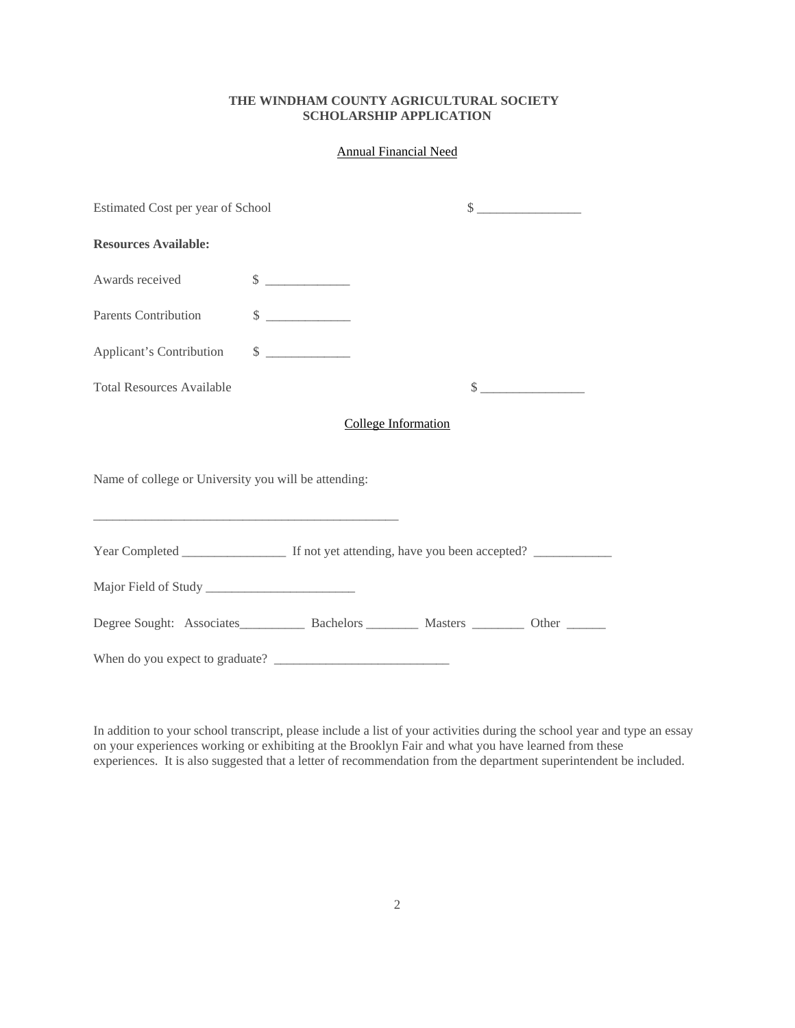# **THE WINDHAM COUNTY AGRICULTURAL SOCIETY SCHOLARSHIP APPLICATION**

### Annual Financial Need

| Estimated Cost per year of School                    |                             |  | $\begin{picture}(20,10) \put(0,0){\line(1,0){10}} \put(15,0){\line(1,0){10}} \put(15,0){\line(1,0){10}} \put(15,0){\line(1,0){10}} \put(15,0){\line(1,0){10}} \put(15,0){\line(1,0){10}} \put(15,0){\line(1,0){10}} \put(15,0){\line(1,0){10}} \put(15,0){\line(1,0){10}} \put(15,0){\line(1,0){10}} \put(15,0){\line(1,0){10}} \put(15,0){\line(1$ |  |  |  |
|------------------------------------------------------|-----------------------------|--|-----------------------------------------------------------------------------------------------------------------------------------------------------------------------------------------------------------------------------------------------------------------------------------------------------------------------------------------------------|--|--|--|
| <b>Resources Available:</b>                          |                             |  |                                                                                                                                                                                                                                                                                                                                                     |  |  |  |
| Awards received                                      | $\qquad \qquad \bullet$     |  |                                                                                                                                                                                                                                                                                                                                                     |  |  |  |
| <b>Parents Contribution</b>                          | $\frac{\text{S}}{\text{S}}$ |  |                                                                                                                                                                                                                                                                                                                                                     |  |  |  |
| <b>Applicant's Contribution</b>                      | $\frac{\text{S}}{\text{S}}$ |  |                                                                                                                                                                                                                                                                                                                                                     |  |  |  |
| <b>Total Resources Available</b>                     |                             |  | $\frac{\text{S}}{\text{S}}$                                                                                                                                                                                                                                                                                                                         |  |  |  |
| <b>College Information</b>                           |                             |  |                                                                                                                                                                                                                                                                                                                                                     |  |  |  |
| Name of college or University you will be attending: |                             |  |                                                                                                                                                                                                                                                                                                                                                     |  |  |  |
|                                                      |                             |  |                                                                                                                                                                                                                                                                                                                                                     |  |  |  |
|                                                      |                             |  |                                                                                                                                                                                                                                                                                                                                                     |  |  |  |
|                                                      |                             |  |                                                                                                                                                                                                                                                                                                                                                     |  |  |  |
|                                                      |                             |  |                                                                                                                                                                                                                                                                                                                                                     |  |  |  |

In addition to your school transcript, please include a list of your activities during the school year and type an essay on your experiences working or exhibiting at the Brooklyn Fair and what you have learned from these experiences. It is also suggested that a letter of recommendation from the department superintendent be included.